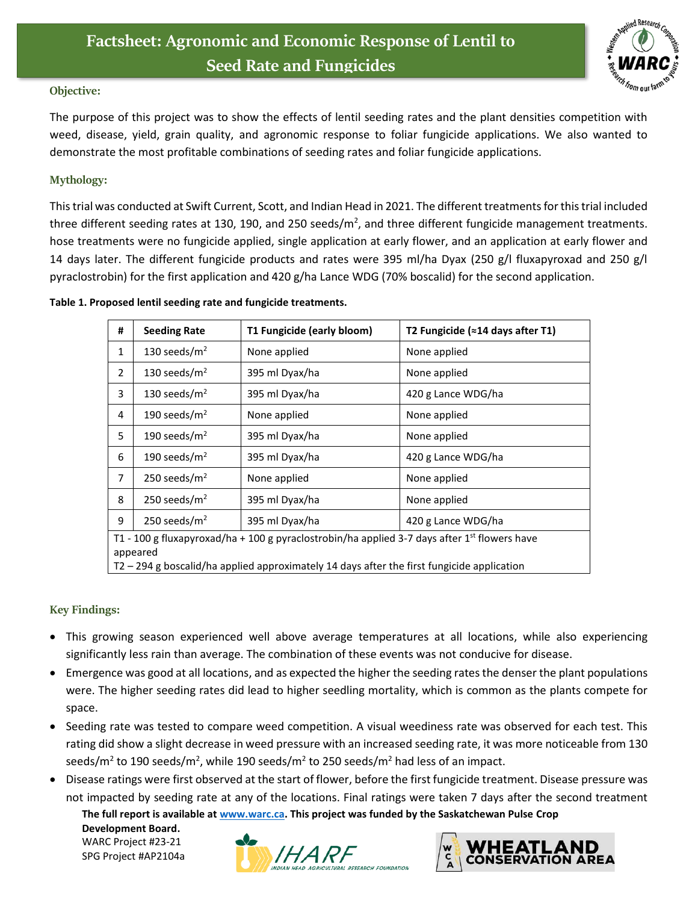

## **Objective:**

The purpose of this project was to show the effects of lentil seeding rates and the plant densities competition with weed, disease, yield, grain quality, and agronomic response to foliar fungicide applications. We also wanted to demonstrate the most profitable combinations of seeding rates and foliar fungicide applications.

## **Mythology:**

This trial was conducted at Swift Current, Scott, and Indian Head in 2021. The different treatments for this trial included three different seeding rates at 130, 190, and 250 seeds/m<sup>2</sup>, and three different fungicide management treatments. hose treatments were no fungicide applied, single application at early flower, and an application at early flower and 14 days later. The different fungicide products and rates were 395 ml/ha Dyax (250 g/l fluxapyroxad and 250 g/l pyraclostrobin) for the first application and 420 g/ha Lance WDG (70% boscalid) for the second application.

## **Table 1. Proposed lentil seeding rate and fungicide treatments.**

| #                                                                                                                    | <b>Seeding Rate</b> | T1 Fungicide (early bloom) | T2 Fungicide (≈14 days after T1) |  |  |
|----------------------------------------------------------------------------------------------------------------------|---------------------|----------------------------|----------------------------------|--|--|
| 1                                                                                                                    | 130 seeds/ $m2$     | None applied               | None applied                     |  |  |
| $\overline{2}$                                                                                                       | 130 seeds/ $m2$     | 395 ml Dyax/ha             | None applied                     |  |  |
| 3                                                                                                                    | 130 seeds/ $m2$     | 395 ml Dyax/ha             | 420 g Lance WDG/ha               |  |  |
| 4                                                                                                                    | 190 seeds/ $m2$     | None applied               | None applied                     |  |  |
| 5                                                                                                                    | 190 seeds/ $m2$     | 395 ml Dyax/ha             | None applied                     |  |  |
| 6                                                                                                                    | 190 seeds/ $m2$     | 395 ml Dyax/ha             | 420 g Lance WDG/ha               |  |  |
| 7                                                                                                                    | 250 seeds/ $m2$     | None applied               | None applied                     |  |  |
| 8                                                                                                                    | 250 seeds/ $m2$     | 395 ml Dyax/ha             | None applied                     |  |  |
| 9                                                                                                                    | 250 seeds/ $m2$     | 395 ml Dyax/ha             | 420 g Lance WDG/ha               |  |  |
| T1 - 100 g fluxapyroxad/ha + 100 g pyraclostrobin/ha applied 3-7 days after 1 <sup>st</sup> flowers have<br>appeared |                     |                            |                                  |  |  |

 $\sqrt{72-294}$  g boscalid/ha applied approximately 14 days after the first fungicide application

## **Key Findings:**

- This growing season experienced well above average temperatures at all locations, while also experiencing significantly less rain than average. The combination of these events was not conducive for disease.
- Emergence was good at all locations, and as expected the higher the seeding rates the denser the plant populations were. The higher seeding rates did lead to higher seedling mortality, which is common as the plants compete for space.
- Seeding rate was tested to compare weed competition. A visual weediness rate was observed for each test. This rating did show a slight decrease in weed pressure with an increased seeding rate, it was more noticeable from 130 seeds/m<sup>2</sup> to 190 seeds/m<sup>2</sup>, while 190 seeds/m<sup>2</sup> to 250 seeds/m<sup>2</sup> had less of an impact.
- Disease ratings were first observed at the start of flower, before the first fungicide treatment. Disease pressure was not impacted by seeding rate at any of the locations. Final ratings were taken 7 days after the second treatment

**The full report is available at [www.warc.ca.](http://www.warc.ca/) This project was funded by the Saskatchewan Pulse Crop** 

**Development Board.**  WARC Project #23-21 SPG Project #AP2104a